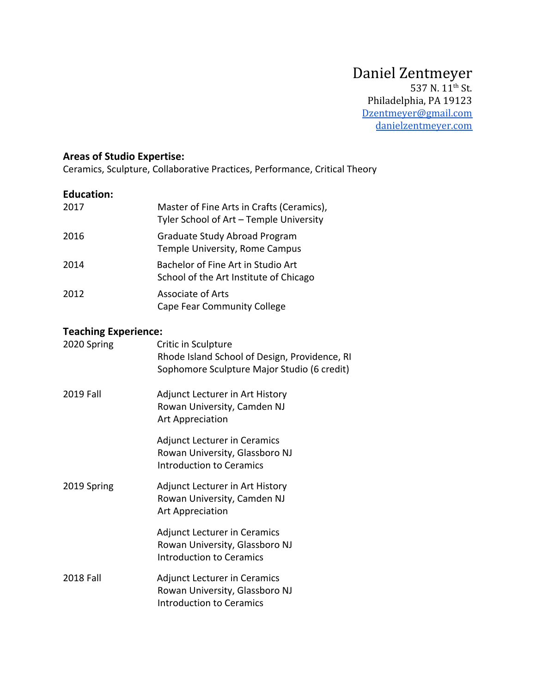#### **Areas of Studio Expertise:**

Ceramics, Sculpture, Collaborative Practices, Performance, Critical Theory

#### **Education:**

| 2017 | Master of Fine Arts in Crafts (Ceramics),<br>Tyler School of Art - Temple University |
|------|--------------------------------------------------------------------------------------|
| 2016 | Graduate Study Abroad Program<br>Temple University, Rome Campus                      |
| 2014 | Bachelor of Fine Art in Studio Art<br>School of the Art Institute of Chicago         |
| 2012 | Associate of Arts<br>Cape Fear Community College                                     |

#### **Teaching Experience:**

| 2020 Spring      | Critic in Sculpture<br>Rhode Island School of Design, Providence, RI<br>Sophomore Sculpture Major Studio (6 credit) |
|------------------|---------------------------------------------------------------------------------------------------------------------|
| 2019 Fall        | Adjunct Lecturer in Art History<br>Rowan University, Camden NJ<br><b>Art Appreciation</b>                           |
|                  | <b>Adjunct Lecturer in Ceramics</b><br>Rowan University, Glassboro NJ<br><b>Introduction to Ceramics</b>            |
| 2019 Spring      | Adjunct Lecturer in Art History<br>Rowan University, Camden NJ<br><b>Art Appreciation</b>                           |
|                  | <b>Adjunct Lecturer in Ceramics</b><br>Rowan University, Glassboro NJ<br><b>Introduction to Ceramics</b>            |
| <b>2018 Fall</b> | <b>Adjunct Lecturer in Ceramics</b><br>Rowan University, Glassboro NJ<br><b>Introduction to Ceramics</b>            |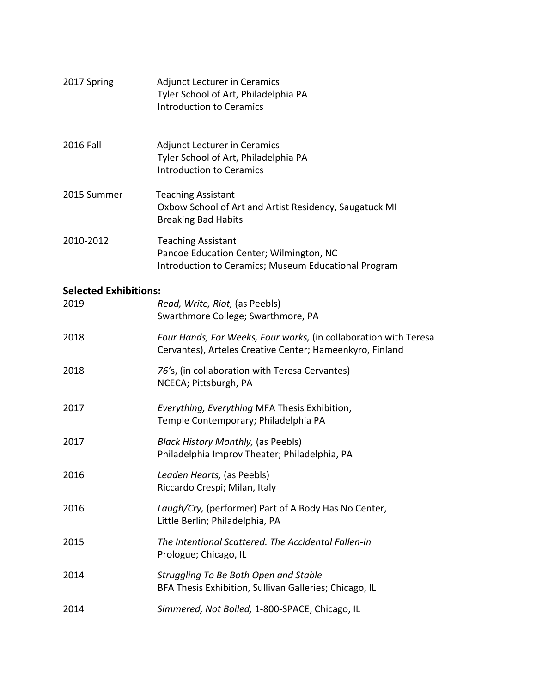| 2017 Spring                  | <b>Adjunct Lecturer in Ceramics</b><br>Tyler School of Art, Philadelphia PA<br><b>Introduction to Ceramics</b>               |
|------------------------------|------------------------------------------------------------------------------------------------------------------------------|
| 2016 Fall                    | <b>Adjunct Lecturer in Ceramics</b><br>Tyler School of Art, Philadelphia PA<br><b>Introduction to Ceramics</b>               |
| 2015 Summer                  | <b>Teaching Assistant</b><br>Oxbow School of Art and Artist Residency, Saugatuck MI<br><b>Breaking Bad Habits</b>            |
| 2010-2012                    | <b>Teaching Assistant</b><br>Pancoe Education Center; Wilmington, NC<br>Introduction to Ceramics; Museum Educational Program |
| <b>Selected Exhibitions:</b> |                                                                                                                              |
| 2019                         | Read, Write, Riot, (as Peebls)<br>Swarthmore College; Swarthmore, PA                                                         |
| 2018                         | Four Hands, For Weeks, Four works, (in collaboration with Teresa<br>Cervantes), Arteles Creative Center; Hameenkyro, Finland |
| 2018                         | 76's, (in collaboration with Teresa Cervantes)<br>NCECA; Pittsburgh, PA                                                      |
| 2017                         | Everything, Everything MFA Thesis Exhibition,<br>Temple Contemporary; Philadelphia PA                                        |
| 2017                         | <b>Black History Monthly, (as Peebls)</b><br>Philadelphia Improv Theater; Philadelphia, PA                                   |
| 2016                         | Leaden Hearts, (as Peebls)<br>Riccardo Crespi; Milan, Italy                                                                  |
| 2016                         | Laugh/Cry, (performer) Part of A Body Has No Center,<br>Little Berlin; Philadelphia, PA                                      |
| 2015                         | The Intentional Scattered. The Accidental Fallen-In<br>Prologue; Chicago, IL                                                 |
| 2014                         | Struggling To Be Both Open and Stable<br>BFA Thesis Exhibition, Sullivan Galleries; Chicago, IL                              |
| 2014                         | Simmered, Not Boiled, 1-800-SPACE; Chicago, IL                                                                               |